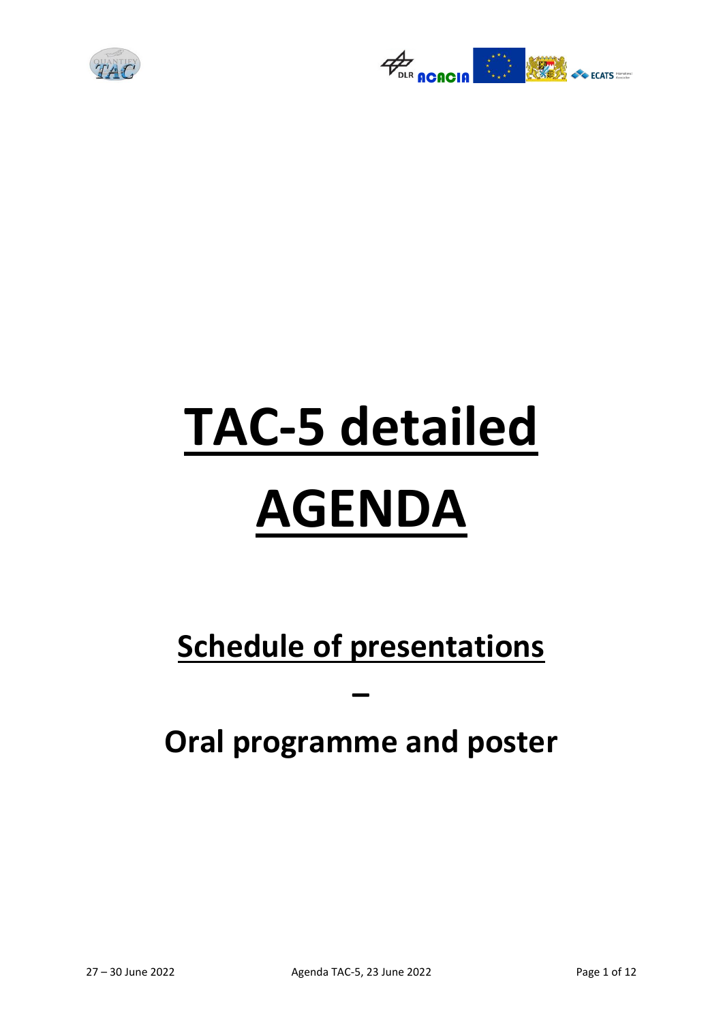



# **TAC-5 detailed AGENDA**

## **Schedule of presentations**

## **Oral programme and poster**

**–**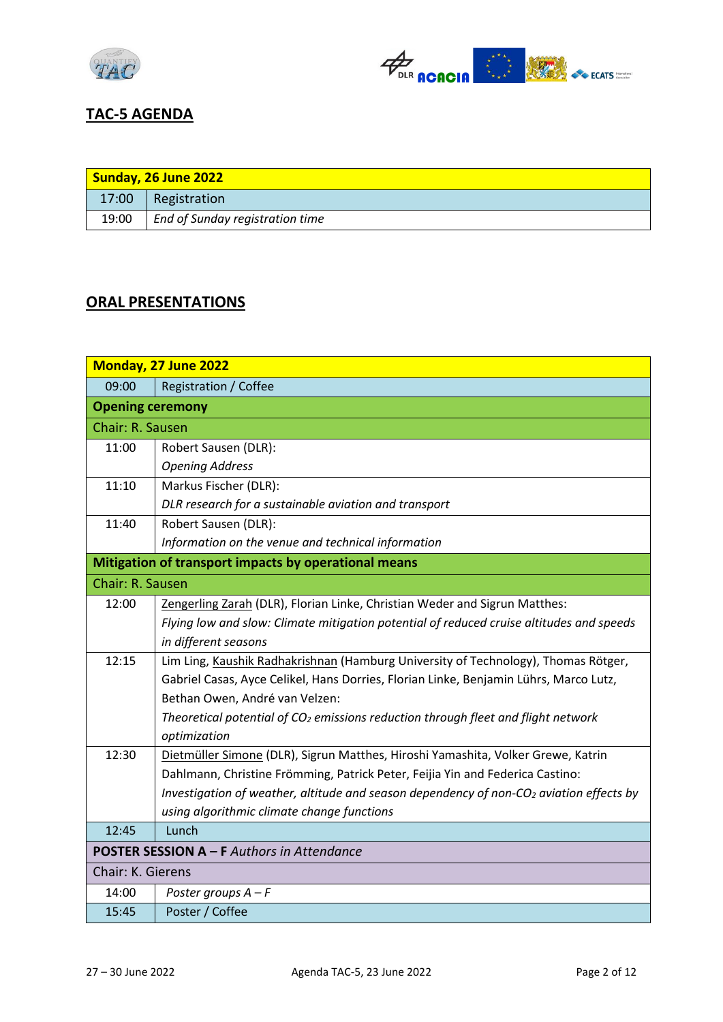



#### **TAC-5 AGENDA**

| Sunday, 26 June 2022 |                                 |
|----------------------|---------------------------------|
| 17:00                | Registration                    |
| 19:00                | End of Sunday registration time |

#### **ORAL PRESENTATIONS**

| Monday, 27 June 2022                                 |                                                                                            |
|------------------------------------------------------|--------------------------------------------------------------------------------------------|
| 09:00                                                | Registration / Coffee                                                                      |
| <b>Opening ceremony</b>                              |                                                                                            |
| Chair: R. Sausen                                     |                                                                                            |
| 11:00                                                | Robert Sausen (DLR):                                                                       |
|                                                      | <b>Opening Address</b>                                                                     |
| 11:10                                                | Markus Fischer (DLR):                                                                      |
|                                                      | DLR research for a sustainable aviation and transport                                      |
| 11:40                                                | Robert Sausen (DLR):                                                                       |
|                                                      | Information on the venue and technical information                                         |
| Mitigation of transport impacts by operational means |                                                                                            |
| Chair: R. Sausen                                     |                                                                                            |
| 12:00                                                | Zengerling Zarah (DLR), Florian Linke, Christian Weder and Sigrun Matthes:                 |
|                                                      | Flying low and slow: Climate mitigation potential of reduced cruise altitudes and speeds   |
|                                                      | in different seasons                                                                       |
| 12:15                                                | Lim Ling, Kaushik Radhakrishnan (Hamburg University of Technology), Thomas Rötger,         |
|                                                      | Gabriel Casas, Ayce Celikel, Hans Dorries, Florian Linke, Benjamin Lührs, Marco Lutz,      |
|                                                      | Bethan Owen, André van Velzen:                                                             |
|                                                      | Theoretical potential of $CO2$ emissions reduction through fleet and flight network        |
|                                                      | optimization                                                                               |
| 12:30                                                | Dietmüller Simone (DLR), Sigrun Matthes, Hiroshi Yamashita, Volker Grewe, Katrin           |
|                                                      | Dahlmann, Christine Frömming, Patrick Peter, Feijia Yin and Federica Castino:              |
|                                                      | Investigation of weather, altitude and season dependency of non- $CO2$ aviation effects by |
|                                                      | using algorithmic climate change functions                                                 |
| 12:45                                                | Lunch                                                                                      |
| <b>POSTER SESSION A - F Authors in Attendance</b>    |                                                                                            |
| Chair: K. Gierens                                    |                                                                                            |
| 14:00                                                | Poster groups $A - F$                                                                      |
| 15:45                                                | Poster / Coffee                                                                            |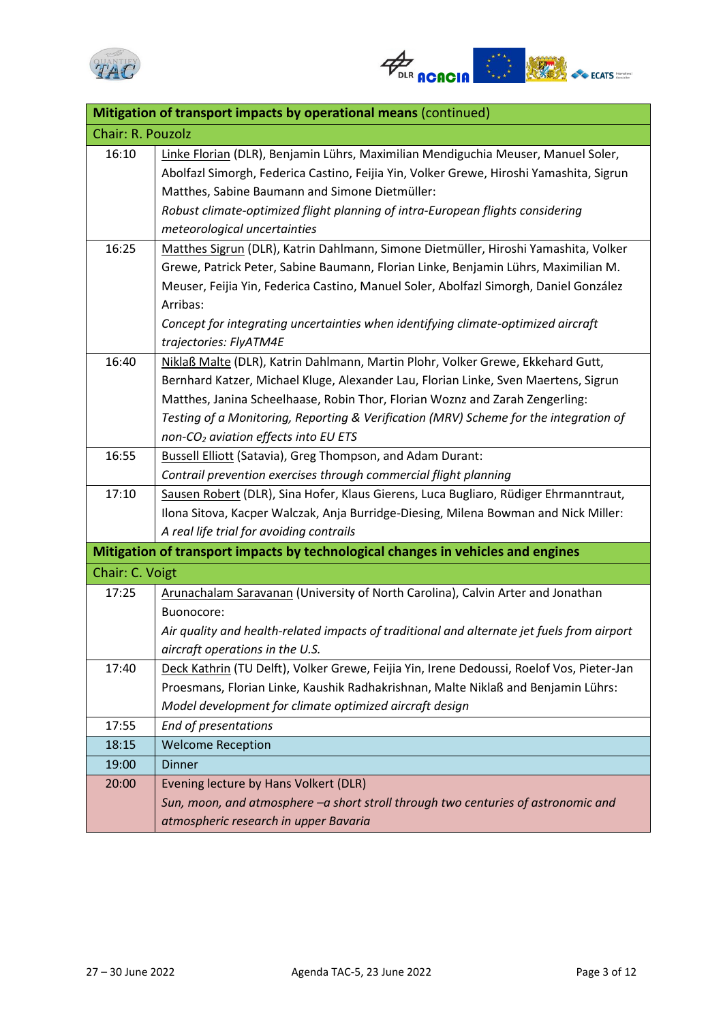



| Mitigation of transport impacts by operational means (continued) |                                                                                            |
|------------------------------------------------------------------|--------------------------------------------------------------------------------------------|
| Chair: R. Pouzolz                                                |                                                                                            |
| 16:10                                                            | Linke Florian (DLR), Benjamin Lührs, Maximilian Mendiguchia Meuser, Manuel Soler,          |
|                                                                  | Abolfazl Simorgh, Federica Castino, Feijia Yin, Volker Grewe, Hiroshi Yamashita, Sigrun    |
|                                                                  | Matthes, Sabine Baumann and Simone Dietmüller:                                             |
|                                                                  | Robust climate-optimized flight planning of intra-European flights considering             |
|                                                                  | meteorological uncertainties                                                               |
| 16:25                                                            | Matthes Sigrun (DLR), Katrin Dahlmann, Simone Dietmüller, Hiroshi Yamashita, Volker        |
|                                                                  | Grewe, Patrick Peter, Sabine Baumann, Florian Linke, Benjamin Lührs, Maximilian M.         |
|                                                                  | Meuser, Feijia Yin, Federica Castino, Manuel Soler, Abolfazl Simorgh, Daniel González      |
|                                                                  | Arribas:                                                                                   |
|                                                                  | Concept for integrating uncertainties when identifying climate-optimized aircraft          |
|                                                                  | trajectories: FlyATM4E                                                                     |
| 16:40                                                            | Niklaß Malte (DLR), Katrin Dahlmann, Martin Plohr, Volker Grewe, Ekkehard Gutt,            |
|                                                                  | Bernhard Katzer, Michael Kluge, Alexander Lau, Florian Linke, Sven Maertens, Sigrun        |
|                                                                  | Matthes, Janina Scheelhaase, Robin Thor, Florian Woznz and Zarah Zengerling:               |
|                                                                  | Testing of a Monitoring, Reporting & Verification (MRV) Scheme for the integration of      |
|                                                                  | non-CO <sub>2</sub> aviation effects into EU ETS                                           |
| 16:55                                                            | Bussell Elliott (Satavia), Greg Thompson, and Adam Durant:                                 |
|                                                                  | Contrail prevention exercises through commercial flight planning                           |
| 17:10                                                            | Sausen Robert (DLR), Sina Hofer, Klaus Gierens, Luca Bugliaro, Rüdiger Ehrmanntraut,       |
|                                                                  | Ilona Sitova, Kacper Walczak, Anja Burridge-Diesing, Milena Bowman and Nick Miller:        |
|                                                                  | A real life trial for avoiding contrails                                                   |
|                                                                  | Mitigation of transport impacts by technological changes in vehicles and engines           |
| Chair: C. Voigt                                                  |                                                                                            |
| 17:25                                                            | Arunachalam Saravanan (University of North Carolina), Calvin Arter and Jonathan            |
|                                                                  | Buonocore:                                                                                 |
|                                                                  | Air quality and health-related impacts of traditional and alternate jet fuels from airport |
|                                                                  | aircraft operations in the U.S.                                                            |
| 17:40                                                            | Deck Kathrin (TU Delft), Volker Grewe, Feijia Yin, Irene Dedoussi, Roelof Vos, Pieter-Jan  |
|                                                                  | Proesmans, Florian Linke, Kaushik Radhakrishnan, Malte Niklaß and Benjamin Lührs:          |
|                                                                  | Model development for climate optimized aircraft design                                    |
| 17:55                                                            | End of presentations                                                                       |
| 18:15                                                            | <b>Welcome Reception</b>                                                                   |
| 19:00                                                            | <b>Dinner</b>                                                                              |
| 20:00                                                            | Evening lecture by Hans Volkert (DLR)                                                      |
|                                                                  | Sun, moon, and atmosphere -a short stroll through two centuries of astronomic and          |
|                                                                  | atmospheric research in upper Bavaria                                                      |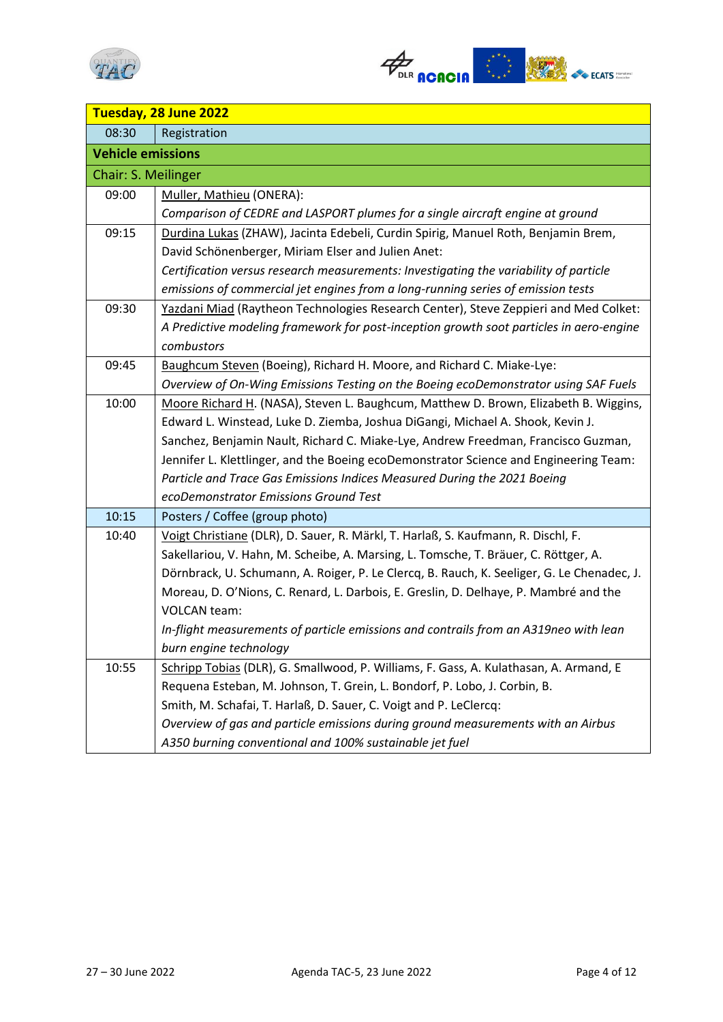



| Tuesday, 28 June 2022    |                                                                                            |
|--------------------------|--------------------------------------------------------------------------------------------|
| 08:30                    | Registration                                                                               |
| <b>Vehicle emissions</b> |                                                                                            |
| Chair: S. Meilinger      |                                                                                            |
| 09:00                    | Muller, Mathieu (ONERA):                                                                   |
|                          | Comparison of CEDRE and LASPORT plumes for a single aircraft engine at ground              |
| 09:15                    | Durdina Lukas (ZHAW), Jacinta Edebeli, Curdin Spirig, Manuel Roth, Benjamin Brem,          |
|                          | David Schönenberger, Miriam Elser and Julien Anet:                                         |
|                          | Certification versus research measurements: Investigating the variability of particle      |
|                          | emissions of commercial jet engines from a long-running series of emission tests           |
| 09:30                    | Yazdani Miad (Raytheon Technologies Research Center), Steve Zeppieri and Med Colket:       |
|                          | A Predictive modeling framework for post-inception growth soot particles in aero-engine    |
|                          | combustors                                                                                 |
| 09:45                    | Baughcum Steven (Boeing), Richard H. Moore, and Richard C. Miake-Lye:                      |
|                          | Overview of On-Wing Emissions Testing on the Boeing ecoDemonstrator using SAF Fuels        |
| 10:00                    | Moore Richard H. (NASA), Steven L. Baughcum, Matthew D. Brown, Elizabeth B. Wiggins,       |
|                          | Edward L. Winstead, Luke D. Ziemba, Joshua DiGangi, Michael A. Shook, Kevin J.             |
|                          | Sanchez, Benjamin Nault, Richard C. Miake-Lye, Andrew Freedman, Francisco Guzman,          |
|                          | Jennifer L. Klettlinger, and the Boeing ecoDemonstrator Science and Engineering Team:      |
|                          | Particle and Trace Gas Emissions Indices Measured During the 2021 Boeing                   |
|                          | ecoDemonstrator Emissions Ground Test                                                      |
| 10:15                    | Posters / Coffee (group photo)                                                             |
| 10:40                    | Voigt Christiane (DLR), D. Sauer, R. Märkl, T. Harlaß, S. Kaufmann, R. Dischl, F.          |
|                          | Sakellariou, V. Hahn, M. Scheibe, A. Marsing, L. Tomsche, T. Bräuer, C. Röttger, A.        |
|                          | Dörnbrack, U. Schumann, A. Roiger, P. Le Clercq, B. Rauch, K. Seeliger, G. Le Chenadec, J. |
|                          | Moreau, D. O'Nions, C. Renard, L. Darbois, E. Greslin, D. Delhaye, P. Mambré and the       |
|                          | <b>VOLCAN</b> team:                                                                        |
|                          | In-flight measurements of particle emissions and contrails from an A319neo with lean       |
|                          | burn engine technology                                                                     |
| 10:55                    | Schripp Tobias (DLR), G. Smallwood, P. Williams, F. Gass, A. Kulathasan, A. Armand, E      |
|                          | Requena Esteban, M. Johnson, T. Grein, L. Bondorf, P. Lobo, J. Corbin, B.                  |
|                          | Smith, M. Schafai, T. Harlaß, D. Sauer, C. Voigt and P. LeClercq:                          |
|                          | Overview of gas and particle emissions during ground measurements with an Airbus           |
|                          | A350 burning conventional and 100% sustainable jet fuel                                    |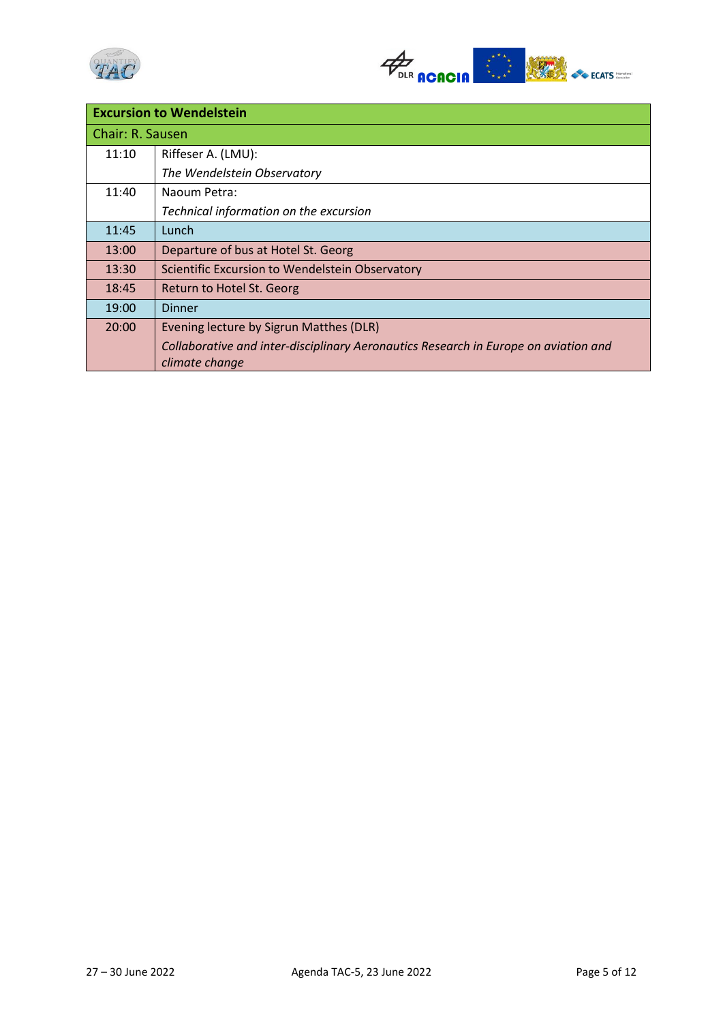



| <b>Excursion to Wendelstein</b> |                                                                                                       |
|---------------------------------|-------------------------------------------------------------------------------------------------------|
| Chair: R. Sausen                |                                                                                                       |
| 11:10                           | Riffeser A. (LMU):                                                                                    |
|                                 | The Wendelstein Observatory                                                                           |
| 11:40                           | Naoum Petra:                                                                                          |
|                                 | Technical information on the excursion                                                                |
| 11:45                           | Lunch                                                                                                 |
| 13:00                           | Departure of bus at Hotel St. Georg                                                                   |
| 13:30                           | Scientific Excursion to Wendelstein Observatory                                                       |
| 18:45                           | Return to Hotel St. Georg                                                                             |
| 19:00                           | Dinner                                                                                                |
| 20:00                           | Evening lecture by Sigrun Matthes (DLR)                                                               |
|                                 | Collaborative and inter-disciplinary Aeronautics Research in Europe on aviation and<br>climate change |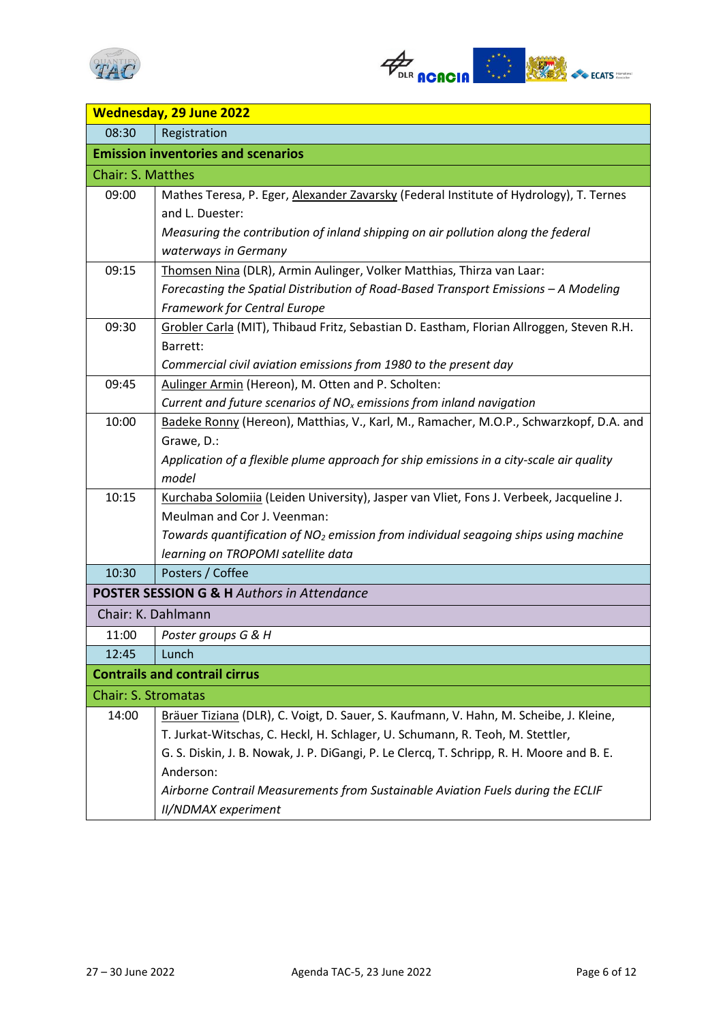



| <b>Wednesday, 29 June 2022</b> |                                                                                                 |
|--------------------------------|-------------------------------------------------------------------------------------------------|
| 08:30                          | Registration                                                                                    |
|                                | <b>Emission inventories and scenarios</b>                                                       |
| Chair: S. Matthes              |                                                                                                 |
| 09:00                          | Mathes Teresa, P. Eger, Alexander Zavarsky (Federal Institute of Hydrology), T. Ternes          |
|                                | and L. Duester:                                                                                 |
|                                | Measuring the contribution of inland shipping on air pollution along the federal                |
|                                | waterways in Germany                                                                            |
| 09:15                          | Thomsen Nina (DLR), Armin Aulinger, Volker Matthias, Thirza van Laar:                           |
|                                | Forecasting the Spatial Distribution of Road-Based Transport Emissions - A Modeling             |
|                                | <b>Framework for Central Europe</b>                                                             |
| 09:30                          | Grobler Carla (MIT), Thibaud Fritz, Sebastian D. Eastham, Florian Allroggen, Steven R.H.        |
|                                | Barrett:                                                                                        |
|                                | Commercial civil aviation emissions from 1980 to the present day                                |
| 09:45                          | Aulinger Armin (Hereon), M. Otten and P. Scholten:                                              |
|                                | Current and future scenarios of $NOx$ emissions from inland navigation                          |
| 10:00                          | Badeke Ronny (Hereon), Matthias, V., Karl, M., Ramacher, M.O.P., Schwarzkopf, D.A. and          |
|                                | Grawe, D.:                                                                                      |
|                                | Application of a flexible plume approach for ship emissions in a city-scale air quality         |
|                                | model                                                                                           |
| 10:15                          | Kurchaba Solomiia (Leiden University), Jasper van Vliet, Fons J. Verbeek, Jacqueline J.         |
|                                | Meulman and Cor J. Veenman:                                                                     |
|                                | Towards quantification of NO <sub>2</sub> emission from individual seagoing ships using machine |
|                                | learning on TROPOMI satellite data                                                              |
| 10:30                          | Posters / Coffee                                                                                |
|                                | <b>POSTER SESSION G &amp; H Authors in Attendance</b>                                           |
| Chair: K. Dahlmann             |                                                                                                 |
| 11:00                          | Poster groups G & H                                                                             |
| 12:45                          | Lunch                                                                                           |
|                                | <b>Contrails and contrail cirrus</b>                                                            |
| <b>Chair: S. Stromatas</b>     |                                                                                                 |
| 14:00                          | Bräuer Tiziana (DLR), C. Voigt, D. Sauer, S. Kaufmann, V. Hahn, M. Scheibe, J. Kleine,          |
|                                | T. Jurkat-Witschas, C. Heckl, H. Schlager, U. Schumann, R. Teoh, M. Stettler,                   |
|                                | G. S. Diskin, J. B. Nowak, J. P. DiGangi, P. Le Clercq, T. Schripp, R. H. Moore and B. E.       |
|                                | Anderson:                                                                                       |
|                                | Airborne Contrail Measurements from Sustainable Aviation Fuels during the ECLIF                 |
|                                | II/NDMAX experiment                                                                             |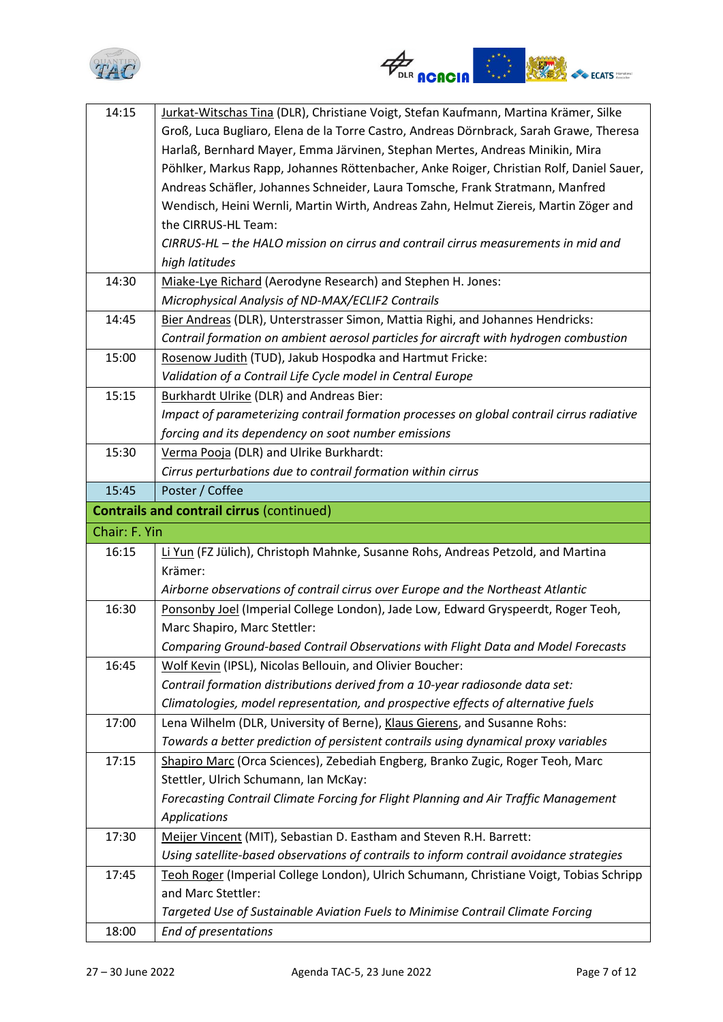



| 14:15         | Jurkat-Witschas Tina (DLR), Christiane Voigt, Stefan Kaufmann, Martina Krämer, Silke      |
|---------------|-------------------------------------------------------------------------------------------|
|               | Groß, Luca Bugliaro, Elena de la Torre Castro, Andreas Dörnbrack, Sarah Grawe, Theresa    |
|               | Harlaß, Bernhard Mayer, Emma Järvinen, Stephan Mertes, Andreas Minikin, Mira              |
|               | Pöhlker, Markus Rapp, Johannes Röttenbacher, Anke Roiger, Christian Rolf, Daniel Sauer,   |
|               | Andreas Schäfler, Johannes Schneider, Laura Tomsche, Frank Stratmann, Manfred             |
|               | Wendisch, Heini Wernli, Martin Wirth, Andreas Zahn, Helmut Ziereis, Martin Zöger and      |
|               | the CIRRUS-HL Team:                                                                       |
|               | CIRRUS-HL - the HALO mission on cirrus and contrail cirrus measurements in mid and        |
|               | high latitudes                                                                            |
| 14:30         | Miake-Lye Richard (Aerodyne Research) and Stephen H. Jones:                               |
|               | Microphysical Analysis of ND-MAX/ECLIF2 Contrails                                         |
| 14:45         | Bier Andreas (DLR), Unterstrasser Simon, Mattia Righi, and Johannes Hendricks:            |
|               | Contrail formation on ambient aerosol particles for aircraft with hydrogen combustion     |
| 15:00         | Rosenow Judith (TUD), Jakub Hospodka and Hartmut Fricke:                                  |
|               | Validation of a Contrail Life Cycle model in Central Europe                               |
| 15:15         | <b>Burkhardt Ulrike (DLR) and Andreas Bier:</b>                                           |
|               | Impact of parameterizing contrail formation processes on global contrail cirrus radiative |
|               | forcing and its dependency on soot number emissions                                       |
| 15:30         | Verma Pooja (DLR) and Ulrike Burkhardt:                                                   |
|               | Cirrus perturbations due to contrail formation within cirrus                              |
| 15:45         | Poster / Coffee                                                                           |
|               | <b>Contrails and contrail cirrus (continued)</b>                                          |
|               |                                                                                           |
| Chair: F. Yin |                                                                                           |
| 16:15         | Li Yun (FZ Jülich), Christoph Mahnke, Susanne Rohs, Andreas Petzold, and Martina          |
|               | Krämer:                                                                                   |
|               | Airborne observations of contrail cirrus over Europe and the Northeast Atlantic           |
| 16:30         | Ponsonby Joel (Imperial College London), Jade Low, Edward Gryspeerdt, Roger Teoh,         |
|               | Marc Shapiro, Marc Stettler:                                                              |
|               | Comparing Ground-based Contrail Observations with Flight Data and Model Forecasts         |
| 16:45         | Wolf Kevin (IPSL), Nicolas Bellouin, and Olivier Boucher:                                 |
|               | Contrail formation distributions derived from a 10-year radiosonde data set:              |
|               | Climatologies, model representation, and prospective effects of alternative fuels         |
| 17:00         | Lena Wilhelm (DLR, University of Berne), Klaus Gierens, and Susanne Rohs:                 |
|               | Towards a better prediction of persistent contrails using dynamical proxy variables       |
| 17:15         | Shapiro Marc (Orca Sciences), Zebediah Engberg, Branko Zugic, Roger Teoh, Marc            |
|               | Stettler, Ulrich Schumann, Ian McKay:                                                     |
|               | Forecasting Contrail Climate Forcing for Flight Planning and Air Traffic Management       |
|               | <b>Applications</b>                                                                       |
| 17:30         | Meijer Vincent (MIT), Sebastian D. Eastham and Steven R.H. Barrett:                       |
|               | Using satellite-based observations of contrails to inform contrail avoidance strategies   |
| 17:45         | Teoh Roger (Imperial College London), Ulrich Schumann, Christiane Voigt, Tobias Schripp   |
|               | and Marc Stettler:                                                                        |
|               | Targeted Use of Sustainable Aviation Fuels to Minimise Contrail Climate Forcing           |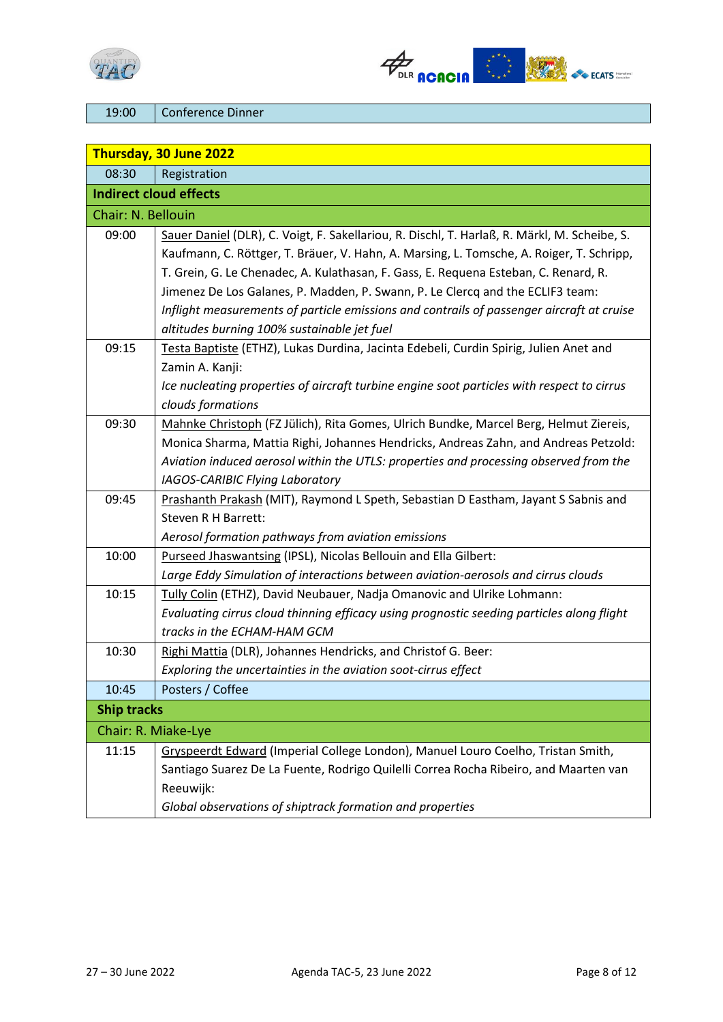



19:00 Conference Dinner

| Thursday, 30 June 2022 |                                                                                                                                                                                                                                                                                                                                                                                                                                                                                                               |
|------------------------|---------------------------------------------------------------------------------------------------------------------------------------------------------------------------------------------------------------------------------------------------------------------------------------------------------------------------------------------------------------------------------------------------------------------------------------------------------------------------------------------------------------|
| 08:30                  | Registration                                                                                                                                                                                                                                                                                                                                                                                                                                                                                                  |
|                        | <b>Indirect cloud effects</b>                                                                                                                                                                                                                                                                                                                                                                                                                                                                                 |
| Chair: N. Bellouin     |                                                                                                                                                                                                                                                                                                                                                                                                                                                                                                               |
| 09:00                  | Sauer Daniel (DLR), C. Voigt, F. Sakellariou, R. Dischl, T. Harlaß, R. Märkl, M. Scheibe, S.<br>Kaufmann, C. Röttger, T. Bräuer, V. Hahn, A. Marsing, L. Tomsche, A. Roiger, T. Schripp,<br>T. Grein, G. Le Chenadec, A. Kulathasan, F. Gass, E. Requena Esteban, C. Renard, R.<br>Jimenez De Los Galanes, P. Madden, P. Swann, P. Le Clercq and the ECLIF3 team:<br>Inflight measurements of particle emissions and contrails of passenger aircraft at cruise<br>altitudes burning 100% sustainable jet fuel |
| 09:15                  | Testa Baptiste (ETHZ), Lukas Durdina, Jacinta Edebeli, Curdin Spirig, Julien Anet and<br>Zamin A. Kanji:<br>Ice nucleating properties of aircraft turbine engine soot particles with respect to cirrus<br>clouds formations                                                                                                                                                                                                                                                                                   |
| 09:30                  | Mahnke Christoph (FZ Jülich), Rita Gomes, Ulrich Bundke, Marcel Berg, Helmut Ziereis,<br>Monica Sharma, Mattia Righi, Johannes Hendricks, Andreas Zahn, and Andreas Petzold:<br>Aviation induced aerosol within the UTLS: properties and processing observed from the<br>IAGOS-CARIBIC Flying Laboratory                                                                                                                                                                                                      |
| 09:45                  | Prashanth Prakash (MIT), Raymond L Speth, Sebastian D Eastham, Jayant S Sabnis and<br>Steven R H Barrett:<br>Aerosol formation pathways from aviation emissions                                                                                                                                                                                                                                                                                                                                               |
| 10:00                  | Purseed Jhaswantsing (IPSL), Nicolas Bellouin and Ella Gilbert:<br>Large Eddy Simulation of interactions between aviation-aerosols and cirrus clouds                                                                                                                                                                                                                                                                                                                                                          |
| 10:15                  | Tully Colin (ETHZ), David Neubauer, Nadja Omanovic and Ulrike Lohmann:<br>Evaluating cirrus cloud thinning efficacy using prognostic seeding particles along flight<br>tracks in the ECHAM-HAM GCM                                                                                                                                                                                                                                                                                                            |
| 10:30                  | Righi Mattia (DLR), Johannes Hendricks, and Christof G. Beer:<br>Exploring the uncertainties in the aviation soot-cirrus effect                                                                                                                                                                                                                                                                                                                                                                               |
| 10:45                  | Posters / Coffee                                                                                                                                                                                                                                                                                                                                                                                                                                                                                              |
| <b>Ship tracks</b>     |                                                                                                                                                                                                                                                                                                                                                                                                                                                                                                               |
|                        | Chair: R. Miake-Lye                                                                                                                                                                                                                                                                                                                                                                                                                                                                                           |
| 11:15                  | Gryspeerdt Edward (Imperial College London), Manuel Louro Coelho, Tristan Smith,<br>Santiago Suarez De La Fuente, Rodrigo Quilelli Correa Rocha Ribeiro, and Maarten van<br>Reeuwijk:<br>Global observations of shiptrack formation and properties                                                                                                                                                                                                                                                            |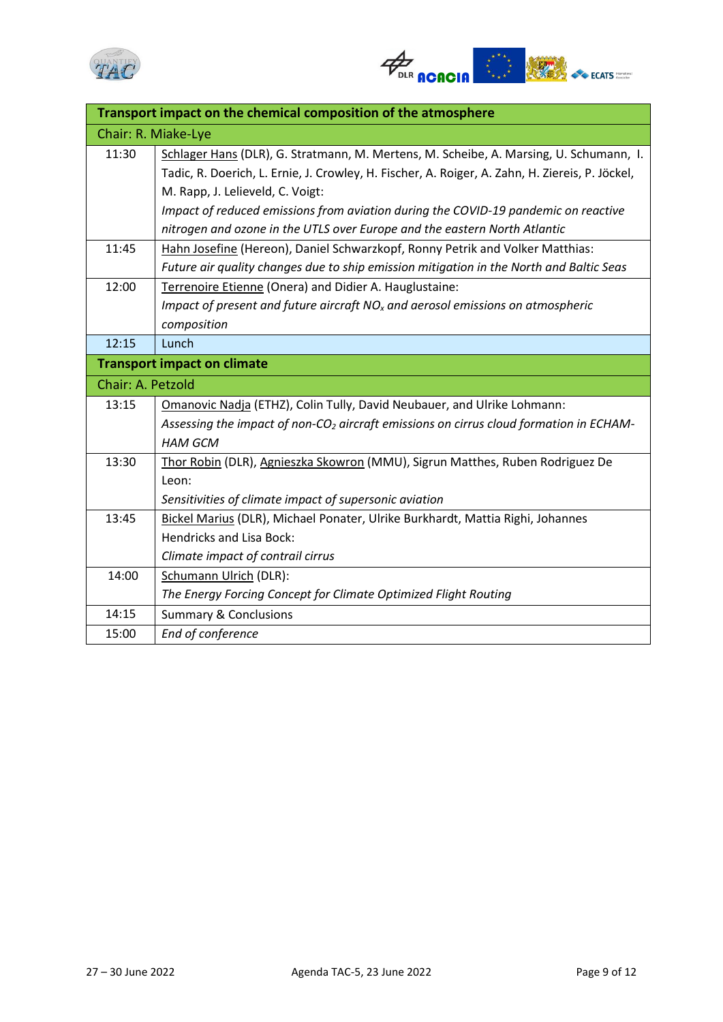



| Transport impact on the chemical composition of the atmosphere |                                                                                                    |
|----------------------------------------------------------------|----------------------------------------------------------------------------------------------------|
| Chair: R. Miake-Lye                                            |                                                                                                    |
| 11:30                                                          | Schlager Hans (DLR), G. Stratmann, M. Mertens, M. Scheibe, A. Marsing, U. Schumann, I.             |
|                                                                | Tadic, R. Doerich, L. Ernie, J. Crowley, H. Fischer, A. Roiger, A. Zahn, H. Ziereis, P. Jöckel,    |
|                                                                | M. Rapp, J. Lelieveld, C. Voigt:                                                                   |
|                                                                | Impact of reduced emissions from aviation during the COVID-19 pandemic on reactive                 |
|                                                                | nitrogen and ozone in the UTLS over Europe and the eastern North Atlantic                          |
| 11:45                                                          | Hahn Josefine (Hereon), Daniel Schwarzkopf, Ronny Petrik and Volker Matthias:                      |
|                                                                | Future air quality changes due to ship emission mitigation in the North and Baltic Seas            |
| 12:00                                                          | Terrenoire Etienne (Onera) and Didier A. Hauglustaine:                                             |
|                                                                | Impact of present and future aircraft $NOx$ and aerosol emissions on atmospheric                   |
|                                                                | composition                                                                                        |
| 12:15                                                          | Lunch                                                                                              |
|                                                                | <b>Transport impact on climate</b>                                                                 |
| Chair: A. Petzold                                              |                                                                                                    |
| 13:15                                                          | Omanovic Nadja (ETHZ), Colin Tully, David Neubauer, and Ulrike Lohmann:                            |
|                                                                | Assessing the impact of non-CO <sub>2</sub> aircraft emissions on cirrus cloud formation in ECHAM- |
|                                                                | <b>HAM GCM</b>                                                                                     |
| 13:30                                                          | Thor Robin (DLR), Agnieszka Skowron (MMU), Sigrun Matthes, Ruben Rodriguez De                      |
|                                                                | Leon:                                                                                              |
|                                                                | Sensitivities of climate impact of supersonic aviation                                             |
| 13:45                                                          | Bickel Marius (DLR), Michael Ponater, Ulrike Burkhardt, Mattia Righi, Johannes                     |
|                                                                | Hendricks and Lisa Bock:                                                                           |
|                                                                | Climate impact of contrail cirrus                                                                  |
| 14:00                                                          | <b>Schumann Ulrich (DLR):</b>                                                                      |
|                                                                | The Energy Forcing Concept for Climate Optimized Flight Routing                                    |
| 14:15                                                          | <b>Summary &amp; Conclusions</b>                                                                   |
| 15:00                                                          | End of conference                                                                                  |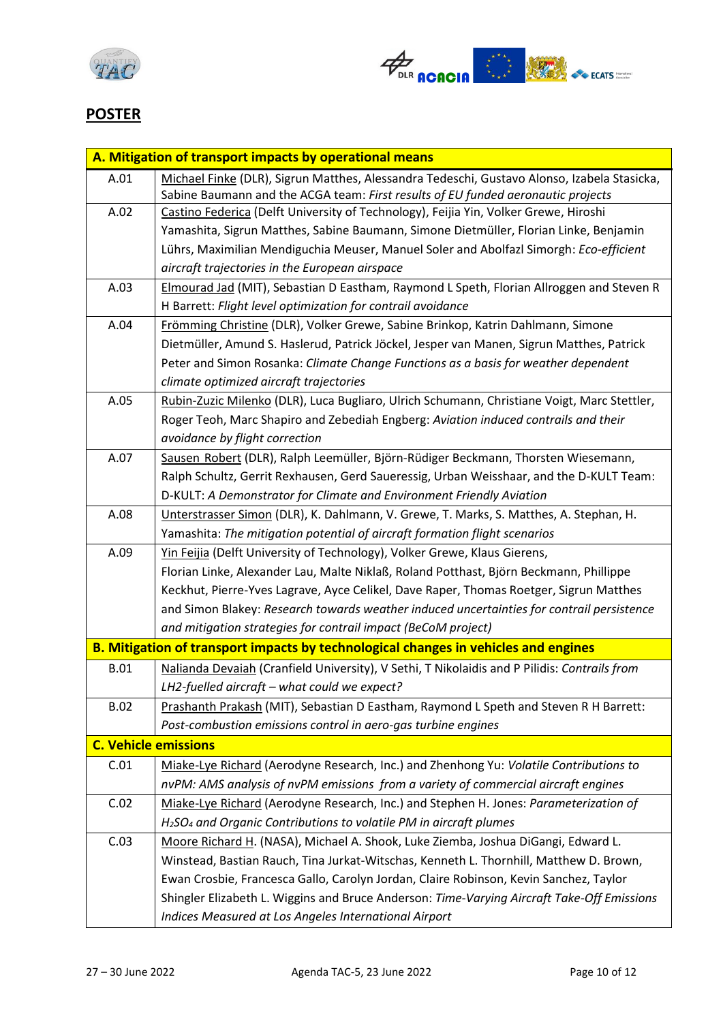



### **POSTER**

|                             | A. Mitigation of transport impacts by operational means                                      |
|-----------------------------|----------------------------------------------------------------------------------------------|
| A.01                        | Michael Finke (DLR), Sigrun Matthes, Alessandra Tedeschi, Gustavo Alonso, Izabela Stasicka,  |
|                             | Sabine Baumann and the ACGA team: First results of EU funded aeronautic projects             |
| A.02                        | Castino Federica (Delft University of Technology), Feijia Yin, Volker Grewe, Hiroshi         |
|                             | Yamashita, Sigrun Matthes, Sabine Baumann, Simone Dietmüller, Florian Linke, Benjamin        |
|                             | Lührs, Maximilian Mendiguchia Meuser, Manuel Soler and Abolfazl Simorgh: Eco-efficient       |
|                             | aircraft trajectories in the European airspace                                               |
| A.03                        | Elmourad Jad (MIT), Sebastian D Eastham, Raymond L Speth, Florian Allroggen and Steven R     |
|                             | H Barrett: Flight level optimization for contrail avoidance                                  |
| A.04                        | Frömming Christine (DLR), Volker Grewe, Sabine Brinkop, Katrin Dahlmann, Simone              |
|                             | Dietmüller, Amund S. Haslerud, Patrick Jöckel, Jesper van Manen, Sigrun Matthes, Patrick     |
|                             | Peter and Simon Rosanka: Climate Change Functions as a basis for weather dependent           |
|                             | climate optimized aircraft trajectories                                                      |
| A.05                        | Rubin-Zuzic Milenko (DLR), Luca Bugliaro, Ulrich Schumann, Christiane Voigt, Marc Stettler,  |
|                             | Roger Teoh, Marc Shapiro and Zebediah Engberg: Aviation induced contrails and their          |
|                             | avoidance by flight correction                                                               |
| A.07                        | Sausen Robert (DLR), Ralph Leemüller, Björn-Rüdiger Beckmann, Thorsten Wiesemann,            |
|                             | Ralph Schultz, Gerrit Rexhausen, Gerd Saueressig, Urban Weisshaar, and the D-KULT Team:      |
|                             | D-KULT: A Demonstrator for Climate and Environment Friendly Aviation                         |
| A.08                        | Unterstrasser Simon (DLR), K. Dahlmann, V. Grewe, T. Marks, S. Matthes, A. Stephan, H.       |
|                             | Yamashita: The mitigation potential of aircraft formation flight scenarios                   |
| A.09                        | Yin Feijia (Delft University of Technology), Volker Grewe, Klaus Gierens,                    |
|                             | Florian Linke, Alexander Lau, Malte Niklaß, Roland Potthast, Björn Beckmann, Phillippe       |
|                             | Keckhut, Pierre-Yves Lagrave, Ayce Celikel, Dave Raper, Thomas Roetger, Sigrun Matthes       |
|                             | and Simon Blakey: Research towards weather induced uncertainties for contrail persistence    |
|                             | and mitigation strategies for contrail impact (BeCoM project)                                |
|                             | B. Mitigation of transport impacts by technological changes in vehicles and engines          |
| <b>B.01</b>                 | Nalianda Devaiah (Cranfield University), V Sethi, T Nikolaidis and P Pilidis: Contrails from |
|                             | LH2-fuelled aircraft - what could we expect?                                                 |
| <b>B.02</b>                 | Prashanth Prakash (MIT), Sebastian D Eastham, Raymond L Speth and Steven R H Barrett:        |
|                             | Post-combustion emissions control in aero-gas turbine engines                                |
| <b>C. Vehicle emissions</b> |                                                                                              |
| C.01                        | Miake-Lye Richard (Aerodyne Research, Inc.) and Zhenhong Yu: Volatile Contributions to       |
|                             | nvPM: AMS analysis of nvPM emissions from a variety of commercial aircraft engines           |
| C.02                        | Miake-Lye Richard (Aerodyne Research, Inc.) and Stephen H. Jones: Parameterization of        |
|                             | H <sub>2</sub> SO <sub>4</sub> and Organic Contributions to volatile PM in aircraft plumes   |
| C.03                        | Moore Richard H. (NASA), Michael A. Shook, Luke Ziemba, Joshua DiGangi, Edward L.            |
|                             | Winstead, Bastian Rauch, Tina Jurkat-Witschas, Kenneth L. Thornhill, Matthew D. Brown,       |
|                             | Ewan Crosbie, Francesca Gallo, Carolyn Jordan, Claire Robinson, Kevin Sanchez, Taylor        |
|                             | Shingler Elizabeth L. Wiggins and Bruce Anderson: Time-Varying Aircraft Take-Off Emissions   |
|                             | Indices Measured at Los Angeles International Airport                                        |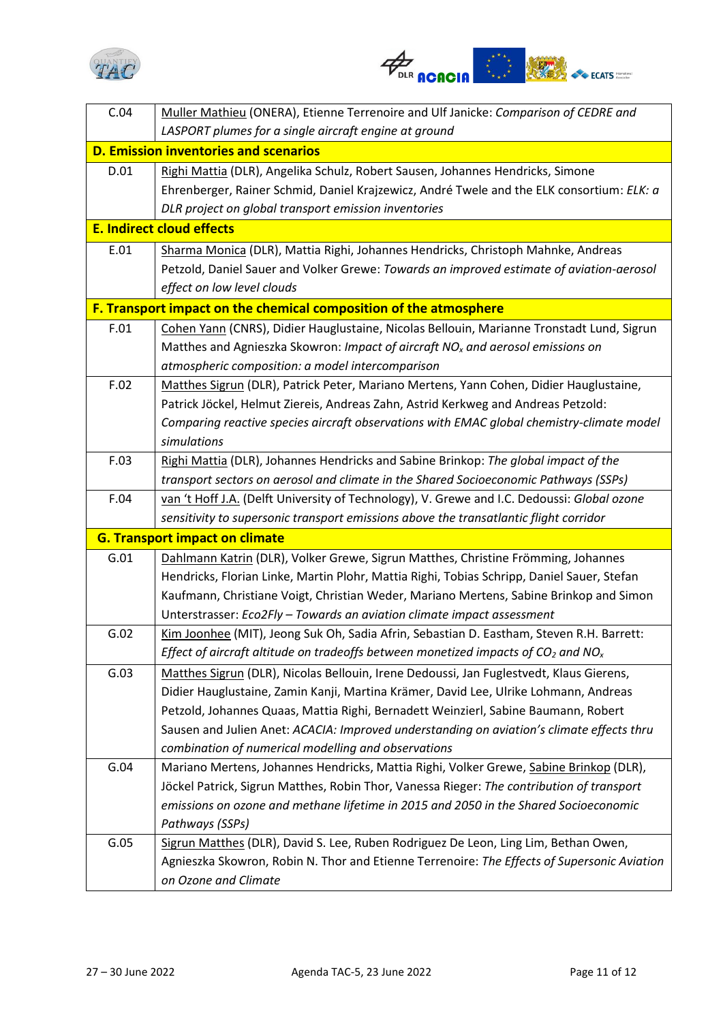



| C.04 | Muller Mathieu (ONERA), Etienne Terrenoire and Ulf Janicke: Comparison of CEDRE and                       |
|------|-----------------------------------------------------------------------------------------------------------|
|      | LASPORT plumes for a single aircraft engine at ground                                                     |
|      | <b>D. Emission inventories and scenarios</b>                                                              |
| D.01 | Righi Mattia (DLR), Angelika Schulz, Robert Sausen, Johannes Hendricks, Simone                            |
|      | Ehrenberger, Rainer Schmid, Daniel Krajzewicz, André Twele and the ELK consortium: ELK: a                 |
|      | DLR project on global transport emission inventories                                                      |
|      | <b>E. Indirect cloud effects</b>                                                                          |
| E.01 | Sharma Monica (DLR), Mattia Righi, Johannes Hendricks, Christoph Mahnke, Andreas                          |
|      | Petzold, Daniel Sauer and Volker Grewe: Towards an improved estimate of aviation-aerosol                  |
|      | effect on low level clouds                                                                                |
|      | F. Transport impact on the chemical composition of the atmosphere                                         |
| F.01 | Cohen Yann (CNRS), Didier Hauglustaine, Nicolas Bellouin, Marianne Tronstadt Lund, Sigrun                 |
|      | Matthes and Agnieszka Skowron: Impact of aircraft NO <sub>x</sub> and aerosol emissions on                |
|      | atmospheric composition: a model intercomparison                                                          |
| F.02 | Matthes Sigrun (DLR), Patrick Peter, Mariano Mertens, Yann Cohen, Didier Hauglustaine,                    |
|      | Patrick Jöckel, Helmut Ziereis, Andreas Zahn, Astrid Kerkweg and Andreas Petzold:                         |
|      | Comparing reactive species aircraft observations with EMAC global chemistry-climate model                 |
|      | simulations                                                                                               |
| F.03 | Righi Mattia (DLR), Johannes Hendricks and Sabine Brinkop: The global impact of the                       |
|      | transport sectors on aerosol and climate in the Shared Socioeconomic Pathways (SSPs)                      |
| F.04 | van 't Hoff J.A. (Delft University of Technology), V. Grewe and I.C. Dedoussi: Global ozone               |
|      | sensitivity to supersonic transport emissions above the transatlantic flight corridor                     |
|      | <b>G. Transport impact on climate</b>                                                                     |
| G.01 | Dahlmann Katrin (DLR), Volker Grewe, Sigrun Matthes, Christine Frömming, Johannes                         |
|      | Hendricks, Florian Linke, Martin Plohr, Mattia Righi, Tobias Schripp, Daniel Sauer, Stefan                |
|      | Kaufmann, Christiane Voigt, Christian Weder, Mariano Mertens, Sabine Brinkop and Simon                    |
|      | Unterstrasser: Eco2Fly - Towards an aviation climate impact assessment                                    |
| G.02 | Kim Joonhee (MIT), Jeong Suk Oh, Sadia Afrin, Sebastian D. Eastham, Steven R.H. Barrett:                  |
|      | Effect of aircraft altitude on tradeoffs between monetized impacts of CO <sub>2</sub> and NO <sub>x</sub> |
| G.03 | Matthes Sigrun (DLR), Nicolas Bellouin, Irene Dedoussi, Jan Fuglestvedt, Klaus Gierens,                   |
|      | Didier Hauglustaine, Zamin Kanji, Martina Krämer, David Lee, Ulrike Lohmann, Andreas                      |
|      | Petzold, Johannes Quaas, Mattia Righi, Bernadett Weinzierl, Sabine Baumann, Robert                        |
|      | Sausen and Julien Anet: ACACIA: Improved understanding on aviation's climate effects thru                 |
|      | combination of numerical modelling and observations                                                       |
| G.04 | Mariano Mertens, Johannes Hendricks, Mattia Righi, Volker Grewe, Sabine Brinkop (DLR),                    |
|      | Jöckel Patrick, Sigrun Matthes, Robin Thor, Vanessa Rieger: The contribution of transport                 |
|      | emissions on ozone and methane lifetime in 2015 and 2050 in the Shared Socioeconomic                      |
| G.05 | Pathways (SSPs)<br>Sigrun Matthes (DLR), David S. Lee, Ruben Rodriguez De Leon, Ling Lim, Bethan Owen,    |
|      | Agnieszka Skowron, Robin N. Thor and Etienne Terrenoire: The Effects of Supersonic Aviation               |
|      | on Ozone and Climate                                                                                      |
|      |                                                                                                           |